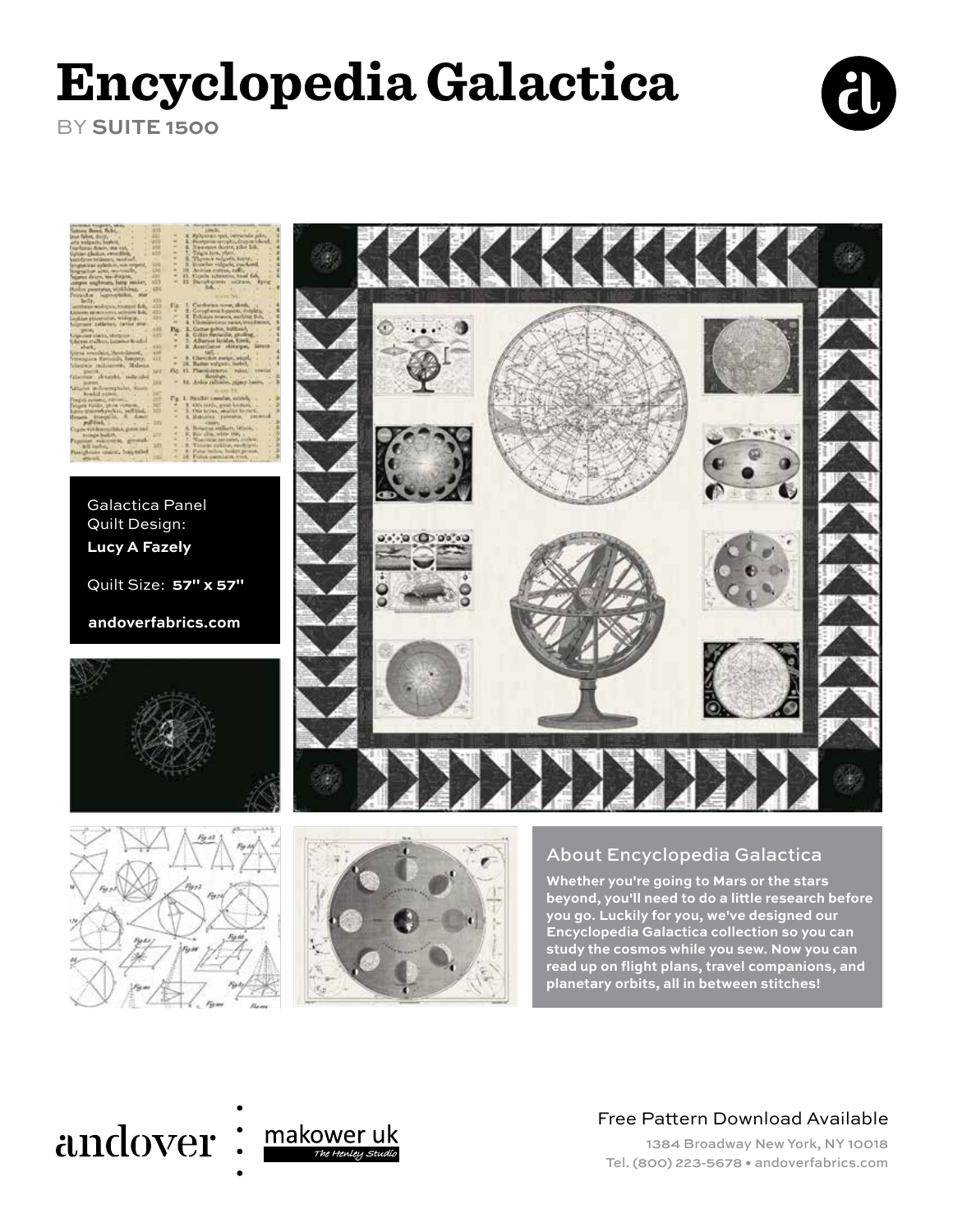# **Encyclopedia Galactica**

BY **SUITE 1500**





Galactica Panel Quilt Design: **Lucy A Fazely**

Quilt Size: **57" x 57"**

**andoverfabrics.com**







o(+) (a) (a) a(+) (a)



**Whether you're going to Mars or the stars beyond, you'll need to do a little research before you go. Luckily for you, we've designed our Encyclopedia Galactica collection so you can study the cosmos while you sew. Now you can read up on flight plans, travel companions, and planetary orbits, all in between stitches!**

# andover



### Free Pattern Download Available

1384 Broadway New York, NY 10018 Tel. (800) 223-5678 • andoverfabrics.com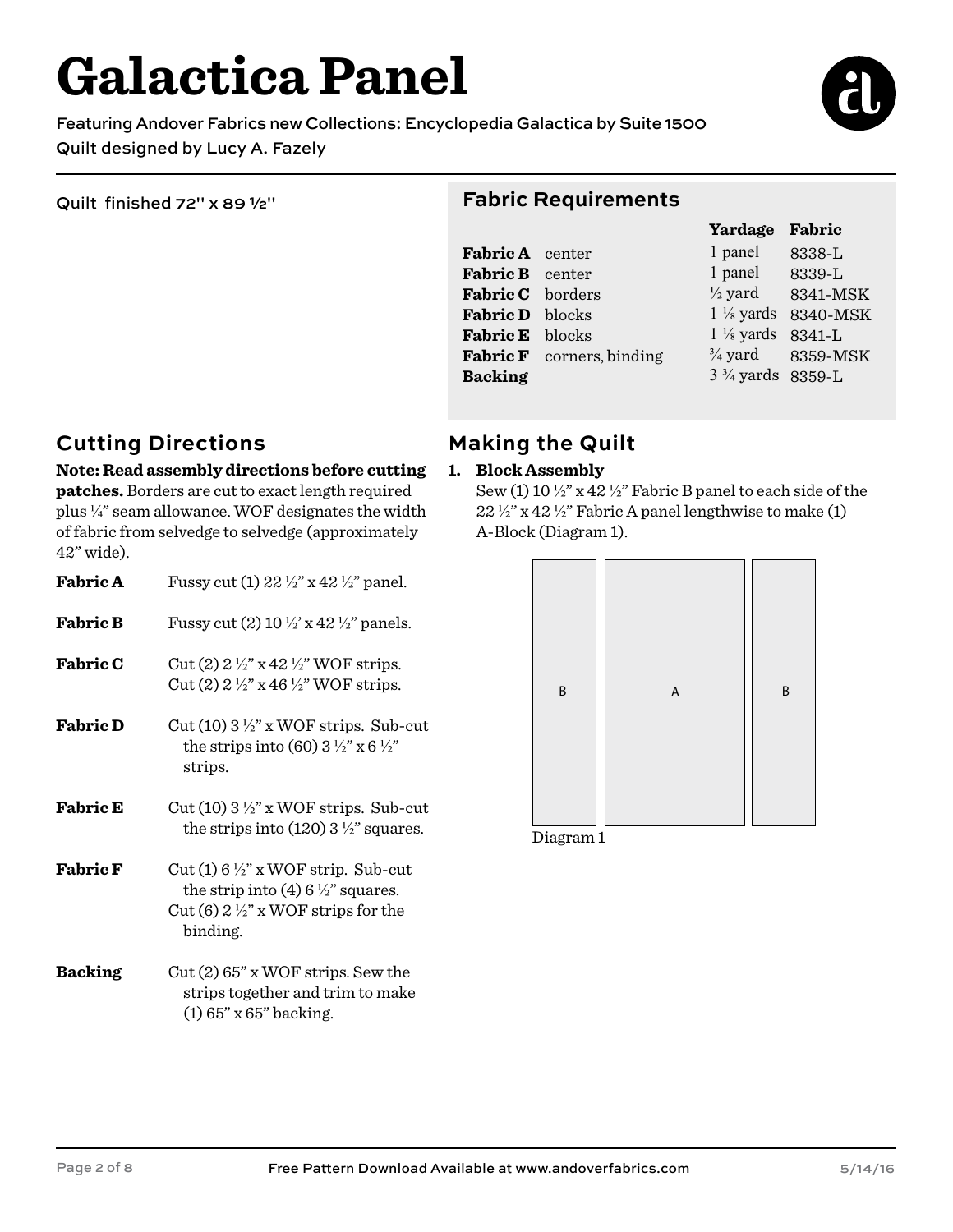# **Galactica Panel**

Featuring Andover Fabrics new Collections: Encyclopedia Galactica by Suite 1500 Quilt designed by Lucy A. Fazely

Quilt finished 72" x 89 ½"

#### **Fabric Requirements**

|                        |                                  | Yardage                     | Fabric   |
|------------------------|----------------------------------|-----------------------------|----------|
| <b>Fabric A</b> center |                                  | 1 panel                     | 8338-L   |
| Fabric B center        |                                  | 1 panel                     | 8339-L   |
| Fabric C borders       |                                  | $\frac{1}{2}$ yard          | 8341-MSK |
| Fabric D blocks        |                                  | $1\frac{1}{8}$ yards        | 8340-MSK |
| <b>Fabric E</b> blocks |                                  | $1\frac{1}{8}$ yards        | 8341-L   |
|                        | <b>Fabric F</b> corners, binding | $\frac{3}{4}$ yard          | 8359-MSK |
| <b>Backing</b>         |                                  | $3\frac{3}{4}$ yards 8359-L |          |
|                        |                                  |                             |          |

### **Cutting Directions**

### **Note: Read assembly directions before cutting**

**patches.** Borders are cut to exact length required plus ¼" seam allowance. WOF designates the width of fabric from selvedge to selvedge (approximately 42" wide).

| <b>Fabric A</b> | Fussy cut (1) 22 $\frac{1}{2}$ x 42 $\frac{1}{2}$ panel.                                                                                                    |
|-----------------|-------------------------------------------------------------------------------------------------------------------------------------------------------------|
| <b>Fabric B</b> | Fussy cut (2) 10 $\frac{1}{2}$ x 42 $\frac{1}{2}$ panels.                                                                                                   |
| <b>Fabric C</b> | Cut (2) $2\frac{1}{2}$ " x 42 $\frac{1}{2}$ " WOF strips.<br>Cut (2) $2\frac{1}{2}$ " x 46 $\frac{1}{2}$ " WOF strips.                                      |
| <b>Fabric D</b> | Cut (10) $3\frac{1}{2}$ " x WOF strips. Sub-cut<br>the strips into (60) $3\frac{1}{2}$ " x 6 $\frac{1}{2}$ "<br>strips.                                     |
| <b>Fabric E</b> | Cut (10) $3\frac{1}{2}$ " x WOF strips. Sub-cut<br>the strips into $(120)$ 3 $\frac{1}{2}$ " squares.                                                       |
| <b>Fabric F</b> | Cut (1) $6\frac{1}{2}$ " x WOF strip. Sub-cut<br>the strip into (4) 6 $\frac{1}{2}$ " squares.<br>Cut (6) $2\frac{1}{2}$ " x WOF strips for the<br>binding. |
| <b>Backing</b>  | $Cut(2)$ 65" x WOF strips. Sew the<br>strips together and trim to make<br>$(1)$ 65" x 65" backing.                                                          |

## **Making the Quilt**

#### **1. Block Assembly**

Sew (1) 10  $\frac{1}{2}$ " x 42  $\frac{1}{2}$ " Fabric B panel to each side of the  $22\frac{1}{2}$ " x 42 $\frac{1}{2}$ " Fabric A panel lengthwise to make (1) A-Block (Diagram 1).

| B | $\boldsymbol{\mathsf{A}}$ | B |
|---|---------------------------|---|
|   |                           |   |
|   |                           |   |
|   |                           |   |
|   |                           |   |

Diagram 1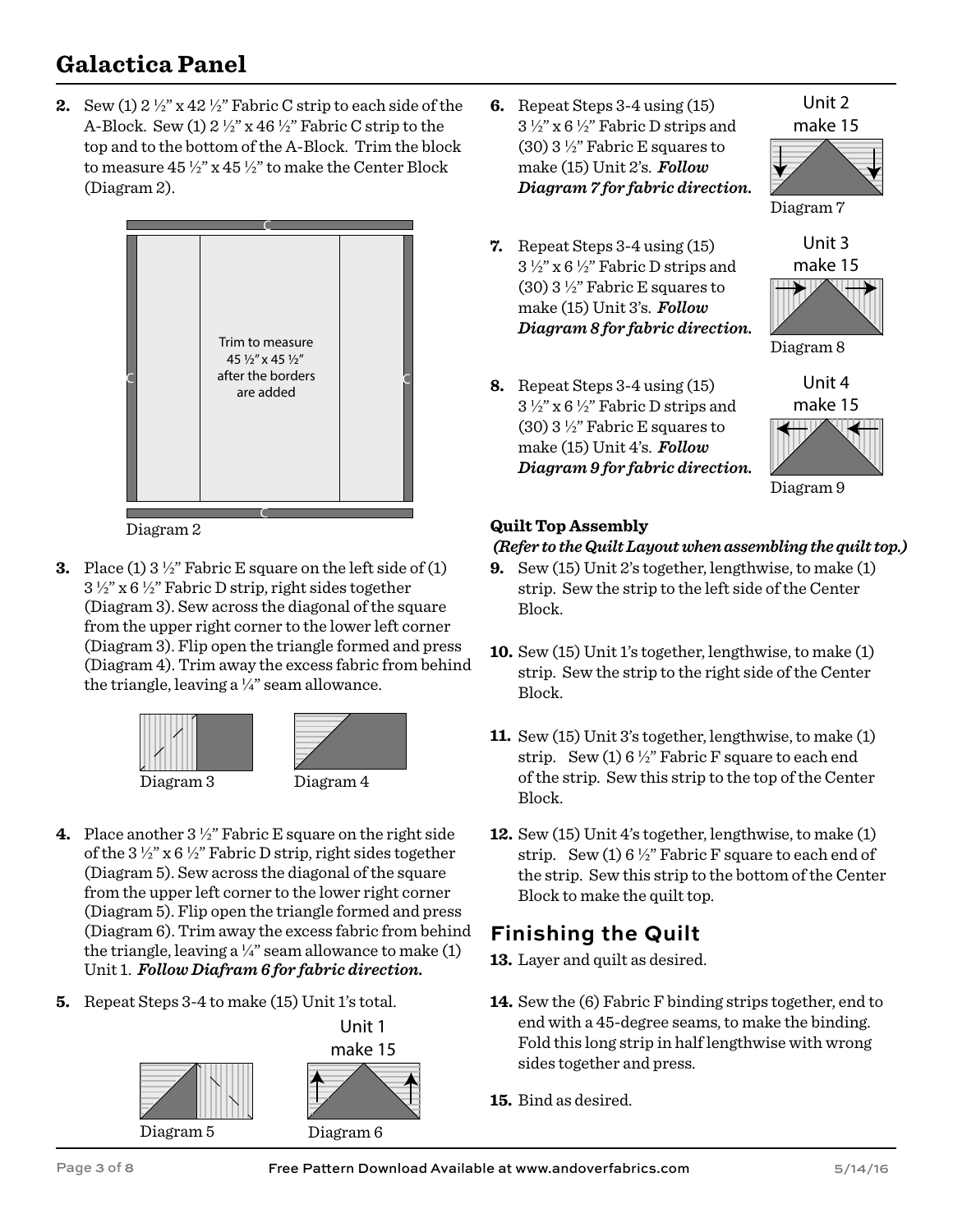# **Galactica Panel**

**2.** Sew (1) 2 ½" x 42 ½" Fabric C strip to each side of the A-Block. Sew  $(1)$  2  $\frac{1}{2}$ " x 46  $\frac{1}{2}$ " Fabric C strip to the top and to the bottom of the A-Block. Trim the block to measure 45 ½" x 45 ½" to make the Center Block (Diagram 2).



Diagram 2

**3.** Place (1) 3 ½" Fabric E square on the left side of (1)  $3\frac{1}{2}$ " x 6 $\frac{1}{2}$ " Fabric D strip, right sides together (Diagram 3). Sew across the diagonal of the square from the upper right corner to the lower left corner (Diagram 3). Flip open the triangle formed and press (Diagram 4). Trim away the excess fabric from behind the triangle, leaving a  $\frac{1}{4}$ " seam allowance.





Diagram 3 Diagram 4

- 
- **4.** Place another 3 ½" Fabric E square on the right side of the  $3\frac{1}{2}$ " x  $6\frac{1}{2}$ " Fabric D strip, right sides together (Diagram 5). Sew across the diagonal of the square from the upper left corner to the lower right corner (Diagram 5). Flip open the triangle formed and press (Diagram 6). Trim away the excess fabric from behind the triangle, leaving a  $\frac{1}{4}$ " seam allowance to make (1) Unit 1. *Follow Diafram 6 for fabric direction.*
- **5.** Repeat Steps 3-4 to make (15) Unit 1's total.



**6.** Repeat Steps 3-4 using (15) 3 ½" x 6 ½" Fabric D strips and (30)  $3\frac{1}{2}$ " Fabric E squares to make (15) Unit 2's. *Follow Diagram 7 for fabric direction.*

Unit 2 make 15



Unit 3 make 15

Diagram 7

- **7.** Repeat Steps 3-4 using (15) 3 ½" x 6 ½" Fabric D strips and  $(30)$  3 ½" Fabric E squares to make (15) Unit 3's. *Follow Diagram 8 for fabric direction.*
- **8.** Repeat Steps 3-4 using (15)  $3\frac{1}{2}$ " x 6  $\frac{1}{2}$ " Fabric D strips and (30) 3 ½" Fabric E squares to make (15) Unit 4's. *Follow Diagram 9 for fabric direction.*



Unit 4

Diagram 8

Diagram 9

#### **Quilt Top Assembly**

#### *(Refer to the Quilt Layout when assembling the quilt top.)*

- **9.** Sew (15) Unit 2's together, lengthwise, to make (1) strip. Sew the strip to the left side of the Center Block.
- **10.** Sew (15) Unit 1's together, lengthwise, to make (1) strip. Sew the strip to the right side of the Center Block.
- **11.** Sew (15) Unit 3's together, lengthwise, to make (1) strip. Sew  $(1) 6 \frac{1}{2}$ " Fabric F square to each end of the strip. Sew this strip to the top of the Center Block.
- **12.** Sew (15) Unit 4's together, lengthwise, to make (1) strip. Sew  $(1) 6 \frac{1}{2}$ " Fabric F square to each end of the strip. Sew this strip to the bottom of the Center Block to make the quilt top.

### **Finishing the Quilt**

**13.** Layer and quilt as desired.

- **14.** Sew the (6) Fabric F binding strips together, end to end with a 45-degree seams, to make the binding. Fold this long strip in half lengthwise with wrong sides together and press.
- **15.** Bind as desired.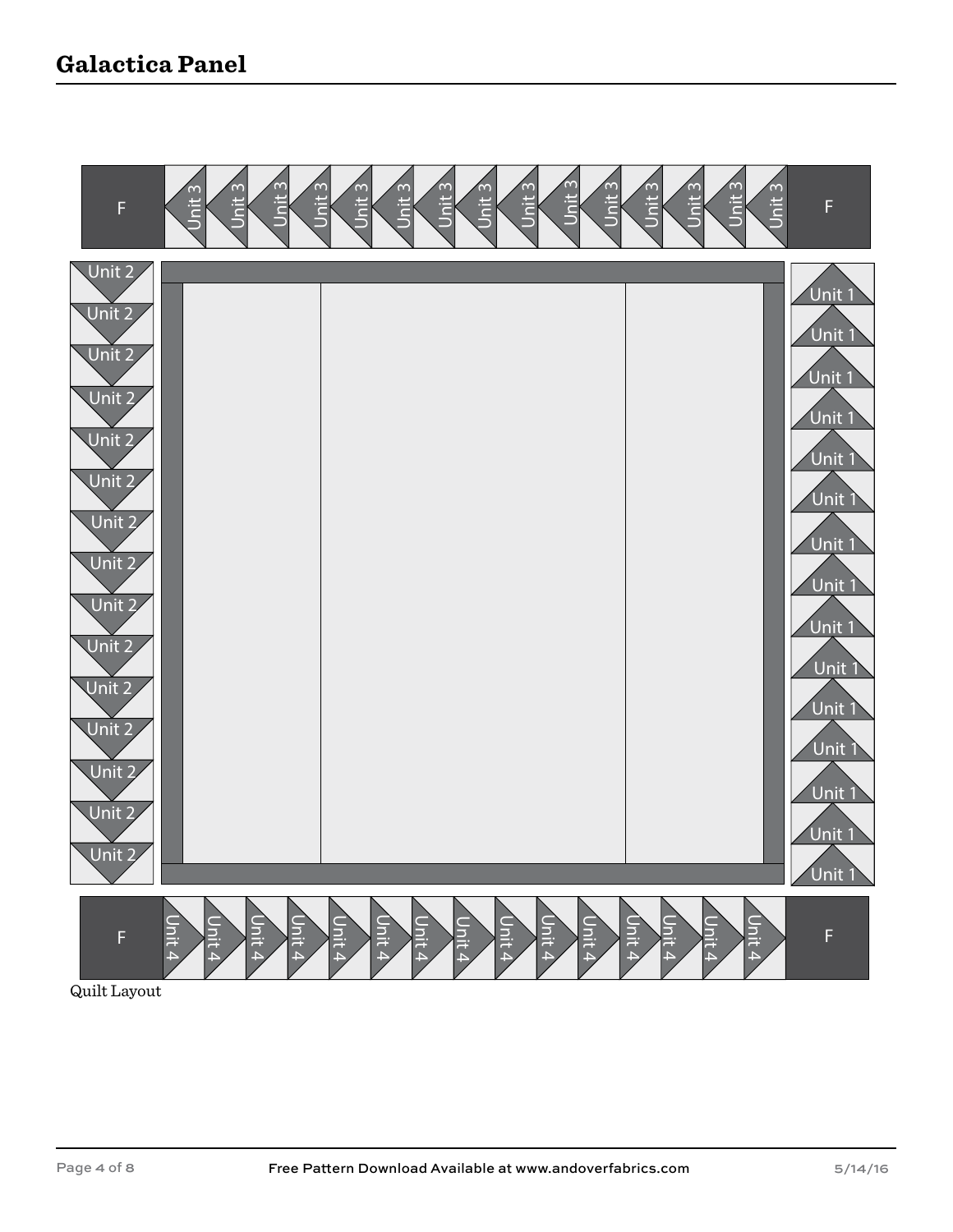## **Galactica Panel**



Quilt Layout